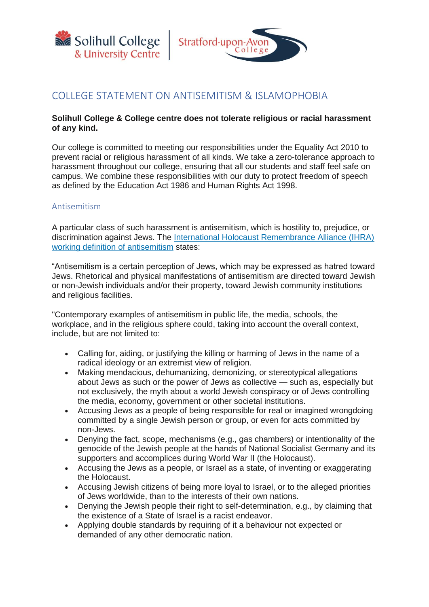



## COLLEGE STATEMENT ON ANTISEMITISM & ISLAMOPHOBIA

## **Solihull College & College centre does not tolerate religious or racial harassment of any kind.**

Our college is committed to meeting our responsibilities under the Equality Act 2010 to prevent racial or religious harassment of all kinds. We take a zero-tolerance approach to harassment throughout our college, ensuring that all our students and staff feel safe on campus. We combine these responsibilities with our duty to protect freedom of speech as defined by the Education Act 1986 and Human Rights Act 1998.

## Antisemitism

A particular class of such harassment is antisemitism, which is hostility to, prejudice, or discrimination against Jews. The International Holocaust [Remembrance](https://www.holocaustremembrance.com/working-definition-antisemitism?focus=antisemitismandholocaustdenial) Alliance (IHRA) working definition of [antisemitism](https://www.holocaustremembrance.com/working-definition-antisemitism?focus=antisemitismandholocaustdenial) states:

"Antisemitism is a certain perception of Jews, which may be expressed as hatred toward Jews. Rhetorical and physical manifestations of antisemitism are directed toward Jewish or non-Jewish individuals and/or their property, toward Jewish community institutions and religious facilities.

"Contemporary examples of antisemitism in public life, the media, schools, the workplace, and in the religious sphere could, taking into account the overall context, include, but are not limited to:

- Calling for, aiding, or justifying the killing or harming of Jews in the name of a radical ideology or an extremist view of religion.
- Making mendacious, dehumanizing, demonizing, or stereotypical allegations about Jews as such or the power of Jews as collective — such as, especially but not exclusively, the myth about a world Jewish conspiracy or of Jews controlling the media, economy, government or other societal institutions.
- Accusing Jews as a people of being responsible for real or imagined wrongdoing committed by a single Jewish person or group, or even for acts committed by non-Jews.
- Denying the fact, scope, mechanisms (e.g., gas chambers) or intentionality of the genocide of the Jewish people at the hands of National Socialist Germany and its supporters and accomplices during World War II (the Holocaust).
- Accusing the Jews as a people, or Israel as a state, of inventing or exaggerating the Holocaust.
- Accusing Jewish citizens of being more loyal to Israel, or to the alleged priorities of Jews worldwide, than to the interests of their own nations.
- Denying the Jewish people their right to self-determination, e.g., by claiming that the existence of a State of Israel is a racist endeavor.
- Applying double standards by requiring of it a behaviour not expected or demanded of any other democratic nation.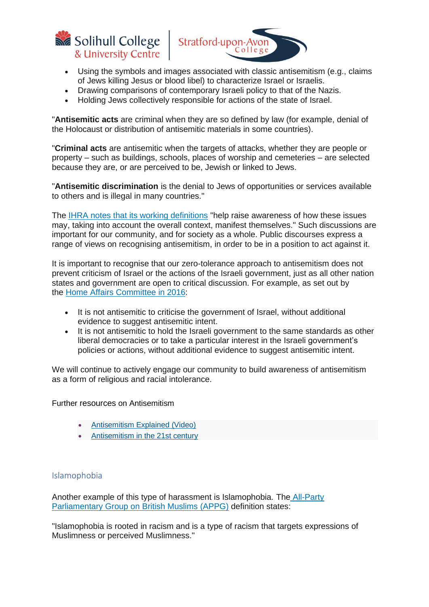



- Using the symbols and images associated with classic antisemitism (e.g., claims of Jews killing Jesus or blood libel) to characterize Israel or Israelis.
- Drawing comparisons of contemporary Israeli policy to that of the Nazis.
- Holding Jews collectively responsible for actions of the state of Israel.

"**Antisemitic acts** are criminal when they are so defined by law (for example, denial of the Holocaust or distribution of antisemitic materials in some countries).

"**Criminal acts** are antisemitic when the targets of attacks, whether they are people or property – such as buildings, schools, places of worship and cemeteries – are selected because they are, or are perceived to be, Jewish or linked to Jews.

"**Antisemitic discrimination** is the denial to Jews of opportunities or services available to others and is illegal in many countries."

The IHRA notes that its working [definitions](https://www.holocaustremembrance.com/resources/working-definitions-and-charters) "help raise awareness of how these issues may, taking into account the overall context, manifest themselves." Such discussions are important for our community, and for society as a whole. Public discourses express a range of views on recognising antisemitism, in order to be in a position to act against it.

It is important to recognise that our zero-tolerance approach to antisemitism does not prevent criticism of Israel or the actions of the Israeli government, just as all other nation states and government are open to critical discussion. For example, as set out by the Home Affairs [Committee](https://publications.parliament.uk/pa/cm201617/cmselect/cmhaff/136/13605.htm) in 2016:

- It is not antisemitic to criticise the government of Israel, without additional evidence to suggest antisemitic intent.
- It is not antisemitic to hold the Israeli government to the same standards as other liberal democracies or to take a particular interest in the Israeli government's policies or actions, without additional evidence to suggest antisemitic intent.

We will continue to actively engage our community to build awareness of antisemitism as a form of religious and racial intolerance.

Further resources on Antisemitism

- [Antisemitism Explained \(Video\)](https://www.youtube.com/watch?v=5BIwf72ynS8)
- [Antisemitism in the 21st century](https://www.myjewishlearning.com/article/anti-semitism-in-the-21st-century/)

## Islamophobia

Another example of this type of harassment is Islamophobia. The [All-Party](https://appgbritishmuslims.org/) [Parliamentary](https://appgbritishmuslims.org/) Group on British Muslims (APPG) definition states:

"Islamophobia is rooted in racism and is a type of racism that targets expressions of Muslimness or perceived Muslimness."